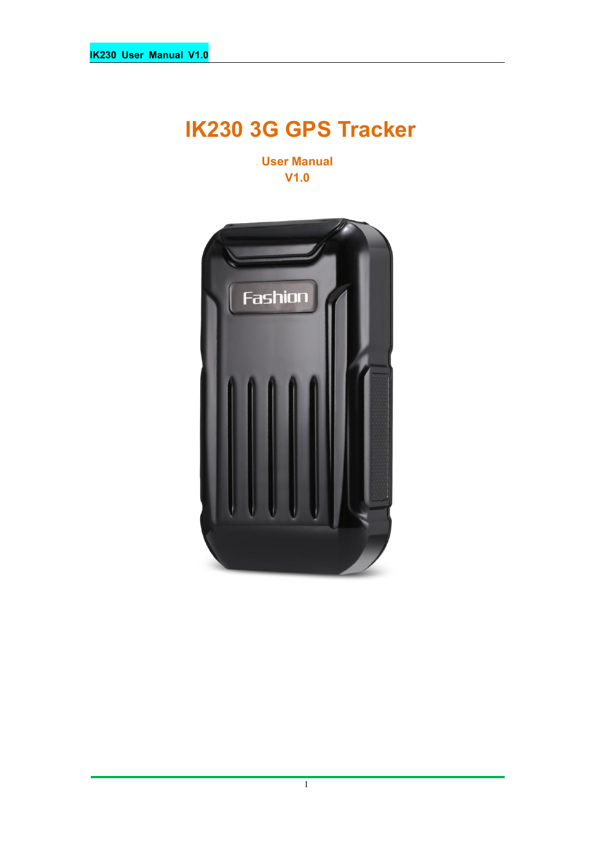# **IK230 3G GPS Tracker**

**User Manual V1.0**



1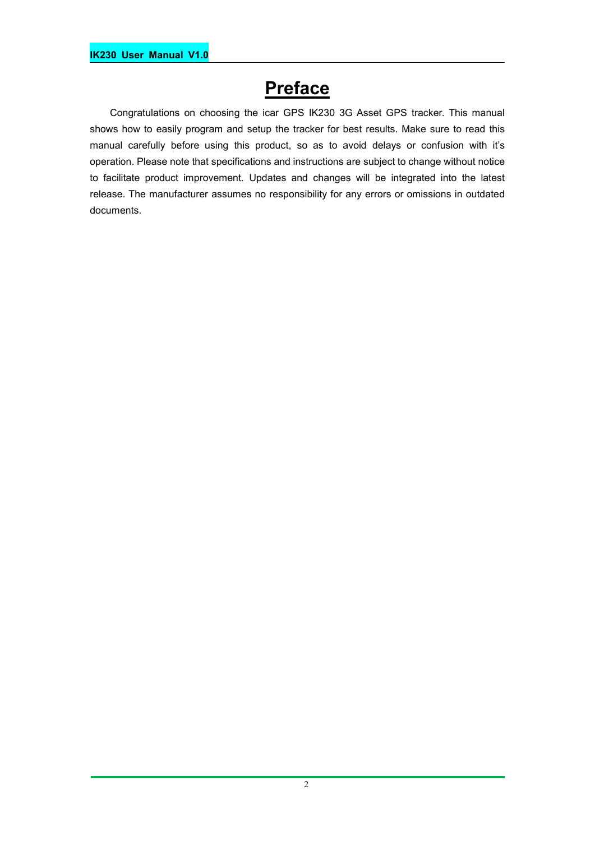## **Preface**

Congratulations on choosing the icar GPS IK230 3G Asset GPS tracker. This manual shows how to easily program and setup the tracker for best results. Make sure to read this manual carefully before using this product, so as to avoid delays or confusion with it's operation. Please note that specifications and instructions are subject to change without notice to facilitate product improvement. Updates and changes will be integrated into the latest release. The manufacturer assumes no responsibility for any errors or omissions in outdated documents.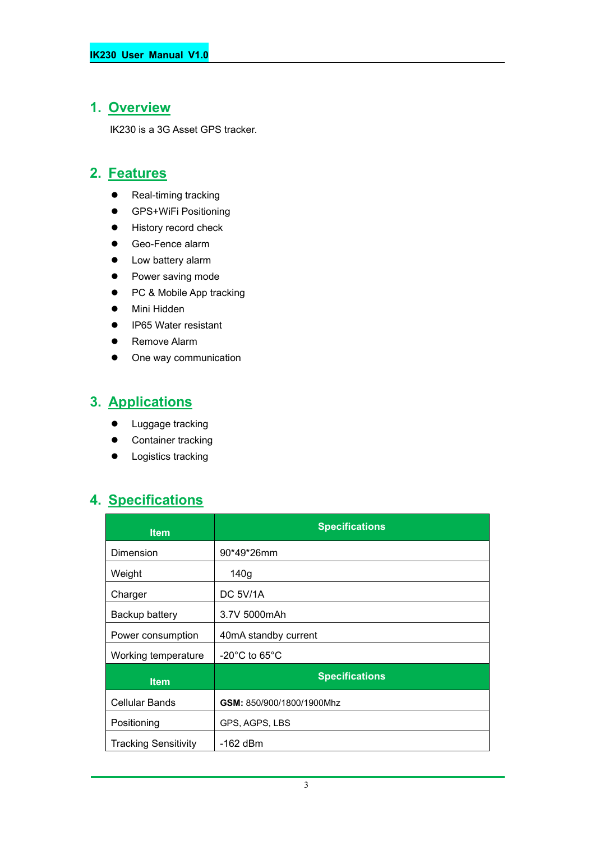## **1. Overview**

IK230 is a 3G Asset GPS tracker.

#### **2. Features**

- Real-timing tracking
- **•** GPS+WiFi Positioning
- **•** History record check
- Geo-Fence alarm
- Low battery alarm
- Power saving mode
- PC & Mobile App tracking
- Mini Hidden
- IP65 Water resistant
- **•** Remove Alarm
- One way communication

## **3. Applications**

- **•** Luggage tracking
- Container tracking
- **•** Logistics tracking

## **4. Specifications**

| <b>Item</b>                 | <b>Specifications</b>              |
|-----------------------------|------------------------------------|
| Dimension                   | $90*49*26mm$                       |
| Weight                      | 140 <sub>g</sub>                   |
| Charger                     | DC 5V/1A                           |
| Backup battery              | 3.7V 5000mAh                       |
| Power consumption           | 40mA standby current               |
| Working temperature         | $-20^{\circ}$ C to 65 $^{\circ}$ C |
| <b>Item</b>                 | <b>Specifications</b>              |
| <b>Cellular Bands</b>       | GSM: 850/900/1800/1900Mhz          |
| Positioning                 | GPS, AGPS, LBS                     |
| <b>Tracking Sensitivity</b> | -162 dBm                           |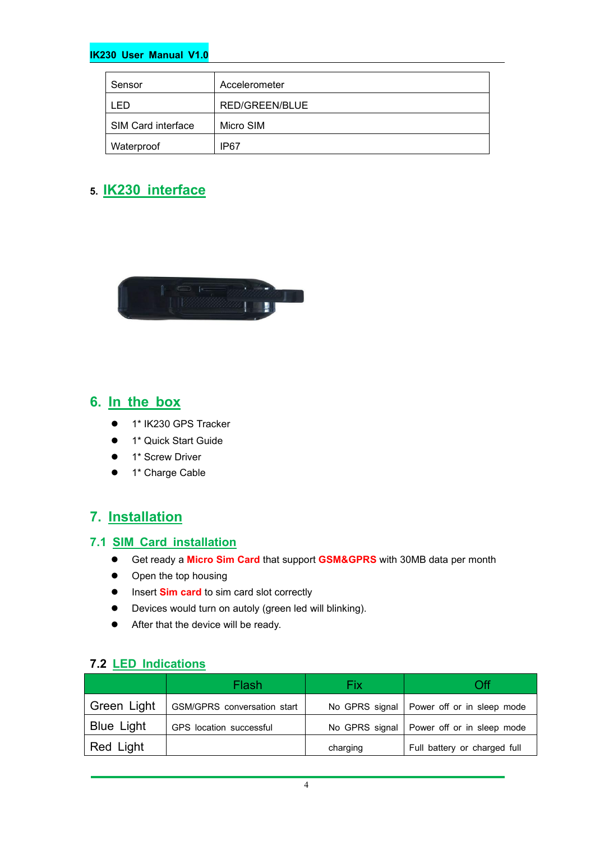#### **IK230 User Manual V1.0**

| Sensor             | Accelerometer  |
|--------------------|----------------|
| -ED                | RED/GREEN/BLUE |
| SIM Card interface | Micro SIM      |
| Waterproof         | IP67           |

#### **5. IK230 interface**



#### **6. In the box**

- 1\* IK230 GPS Tracker
- **1** 1<sup>\*</sup> Quick Start Guide
- 1<sup>\*</sup> Screw Driver
- 1\* Charge Cable

#### **7. Installation**

#### **7.1 SIM Card installation**

- Get ready a **Micro Sim Card** that support **GSM&GPRS** with30MB data per month
- Open the top housing
- $\bullet$  Insert **Sim card** to sim card slot correctly
- Devices would turn on autoly (green led will blinking).
- After that the device will be ready.

#### **7.2 LED Indications**

|             | Flash                       | Fix      | <b>O</b> ff                                 |
|-------------|-----------------------------|----------|---------------------------------------------|
| Green Light | GSM/GPRS conversation start |          | No GPRS signal   Power off or in sleep mode |
| Blue Light  | GPS location successful     |          | No GPRS signal   Power off or in sleep mode |
| Red Light   |                             | charging | Full battery or charged full                |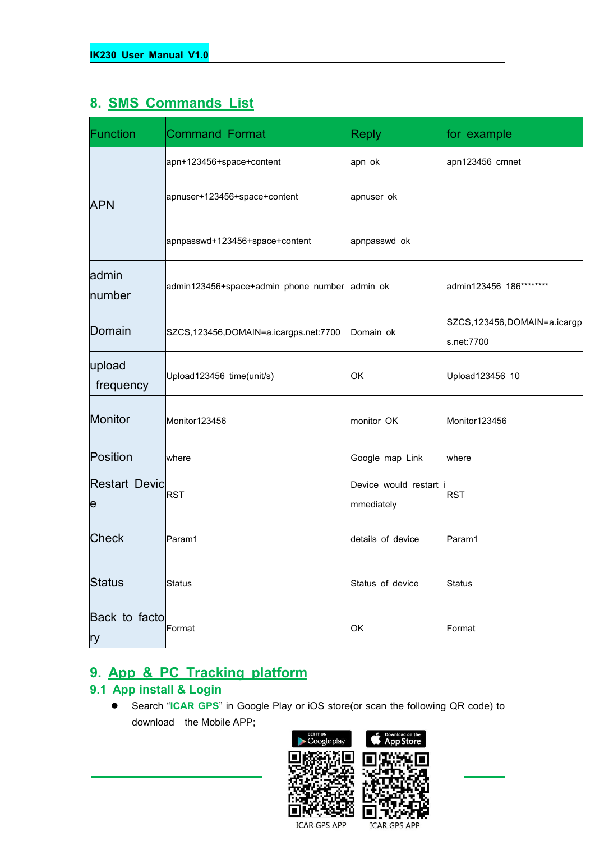#### **8. SMS Commands List**

| Function                  | <b>Command Format</b>                         | <b>Reply</b>                         | for example                               |
|---------------------------|-----------------------------------------------|--------------------------------------|-------------------------------------------|
|                           | apn+123456+space+content                      | apn ok                               | apn123456 cmnet                           |
| <b>APN</b>                | apnuser+123456+space+content                  | apnuser ok                           |                                           |
|                           | apnpasswd+123456+space+content                | apnpasswd ok                         |                                           |
| admin<br>number           | admin123456+space+admin phone number admin ok |                                      | admin123456 186*********                  |
| Domain                    | SZCS,123456,DOMAIN=a.icargps.net:7700         | Domain ok                            | SZCS,123456,DOMAIN=a.icargp<br>s.net:7700 |
| upload<br>frequency       | Upload123456 time(unit/s)                     | OK                                   | Upload123456 10                           |
| Monitor                   | Monitor123456                                 | monitor OK                           | Monitor123456                             |
| Position                  | where                                         | Google map Link                      | where                                     |
| <b>Restart Devic</b><br>e | <b>RST</b>                                    | Device would restart i<br>mmediately | <b>RST</b>                                |
| <b>Check</b>              | Param1                                        | details of device                    | Param1                                    |
| <b>Status</b>             | Status                                        | Status of device                     | Status                                    |
| Back to facto<br>ry       | Format                                        | OK                                   | Format                                    |

#### **9. App & PC Tracking platform**

#### **9.1 App install & Login**

 Search "**ICAR GPS**" in Google Play or iOS store(or scan the following QR code) to download the Mobile APP;



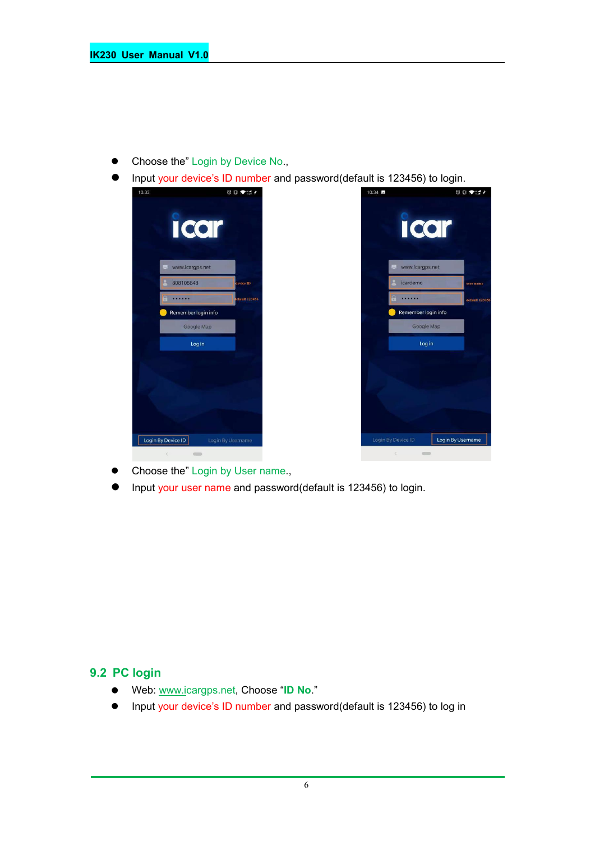- Choose the" Login by Device No.,
- Input your device's ID number and password(default is 123456) to login.



- Choose the" Login by User name.,
- Input your user name and password(default is 123456) to login.

#### **9.2 PC login**

- Web: [www.ic](http://www.trackits.com)argps.net, Choose "**ID No**."
- Input your device's ID number and password(default is 123456) to log in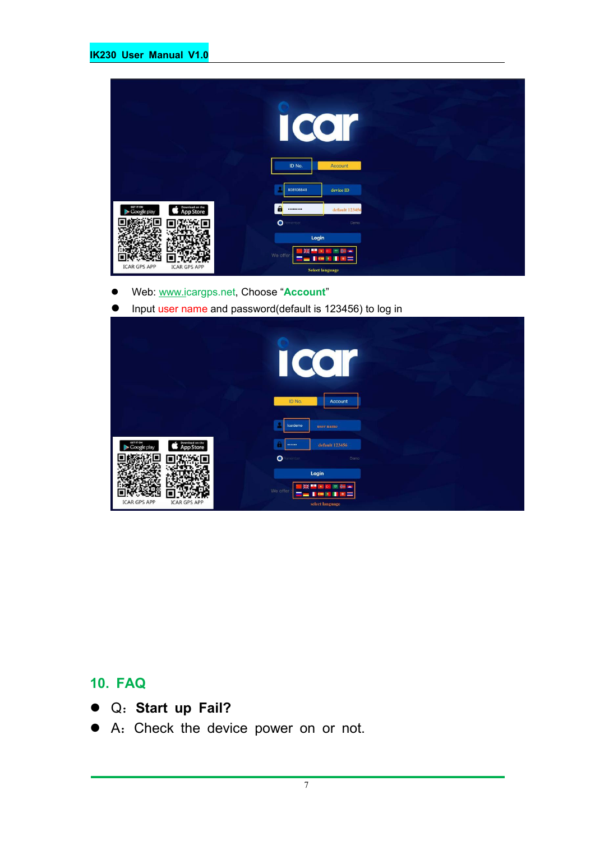|                                                          | U<br>ID No.<br>Account                                        |  |
|----------------------------------------------------------|---------------------------------------------------------------|--|
|                                                          | 808108848<br>device ID                                        |  |
| Download on the<br>App Store<br>GET IT ON<br>Google play | $\mathbf{a}$<br>default 123456<br>                            |  |
|                                                          | $\bullet$<br>enember<br>Demo                                  |  |
| <b>ICAR GPS APP</b><br><b>ICAR GPS APP</b>               | Login<br>We offer<br>$\overline{a}$<br><b>Select language</b> |  |

- Web: [www.ic](http://www.trackits.com)argps.net, Choose "**Account**"
- **Input user name and password(default is 123456) to log in**

|                                                                 | $\bullet$<br>$\bullet$<br>$\big($                                                                             |
|-----------------------------------------------------------------|---------------------------------------------------------------------------------------------------------------|
|                                                                 | ID No.<br>Account<br>icardemo<br>user name                                                                    |
| Download on the<br>GET IT ON<br><b>App Store</b><br>Google play | default 123456<br>-<br>$\bullet$<br>enember<br>Demo                                                           |
| <b>ICAR GPS APP</b><br><b>ICAR GPS APP</b>                      | Login<br>m<br>₩<br><b>PART</b><br>We offer<br>÷<br>n<br>=<br>$\overline{\phantom{0}}$<br>÷<br>select language |

### **10. FAQ**

- Q:**Start up Fail?**
- A:Check the device power on or not.